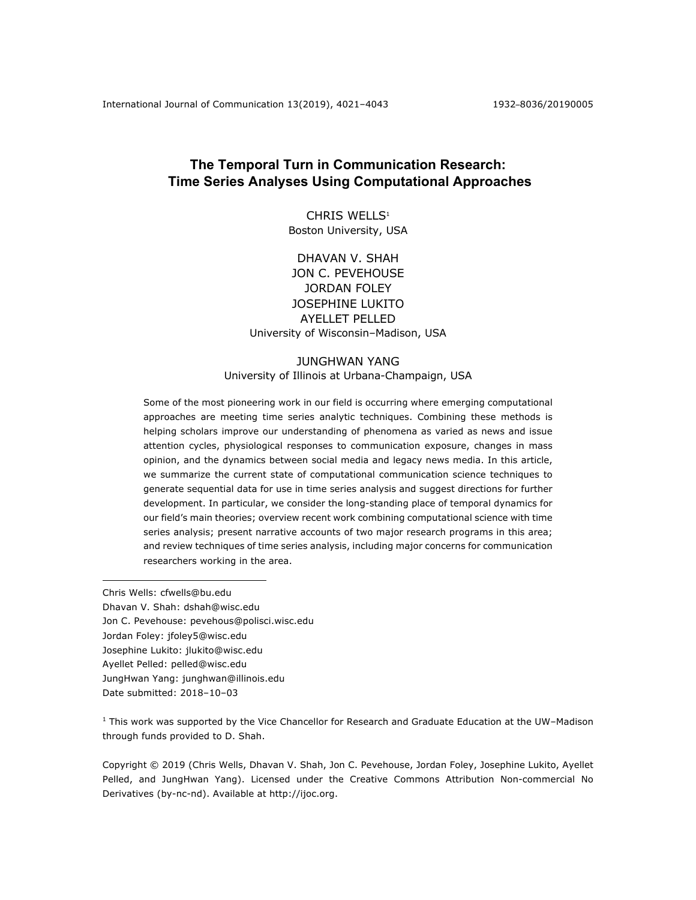# **The Temporal Turn in Communication Research: Time Series Analyses Using Computational Approaches**

CHRIS WELLS<sup>1</sup> Boston University, USA

DHAVAN V. SHAH JON C. PEVEHOUSE JORDAN FOLEY JOSEPHINE LUKITO AYELLET PELLED University of Wisconsin–Madison, USA

# JUNGHWAN YANG University of Illinois at Urbana-Champaign, USA

Some of the most pioneering work in our field is occurring where emerging computational approaches are meeting time series analytic techniques. Combining these methods is helping scholars improve our understanding of phenomena as varied as news and issue attention cycles, physiological responses to communication exposure, changes in mass opinion, and the dynamics between social media and legacy news media. In this article, we summarize the current state of computational communication science techniques to generate sequential data for use in time series analysis and suggest directions for further development. In particular, we consider the long-standing place of temporal dynamics for our field's main theories; overview recent work combining computational science with time series analysis; present narrative accounts of two major research programs in this area; and review techniques of time series analysis, including major concerns for communication researchers working in the area.

Chris Wells: cfwells@bu.edu Dhavan V. Shah: dshah@wisc.edu Jon C. Pevehouse: pevehous@polisci.wisc.edu Jordan Foley: jfoley5@wisc.edu Josephine Lukito: jlukito@wisc.edu Ayellet Pelled: pelled@wisc.edu JungHwan Yang: junghwan@illinois.edu Date submitted: 2018–10–03

 $<sup>1</sup>$  This work was supported by the Vice Chancellor for Research and Graduate Education at the UW–Madison</sup> through funds provided to D. Shah.

Copyright © 2019 (Chris Wells, Dhavan V. Shah, Jon C. Pevehouse, Jordan Foley, Josephine Lukito, Ayellet Pelled, and JungHwan Yang). Licensed under the Creative Commons Attribution Non-commercial No Derivatives (by-nc-nd). Available at http://ijoc.org.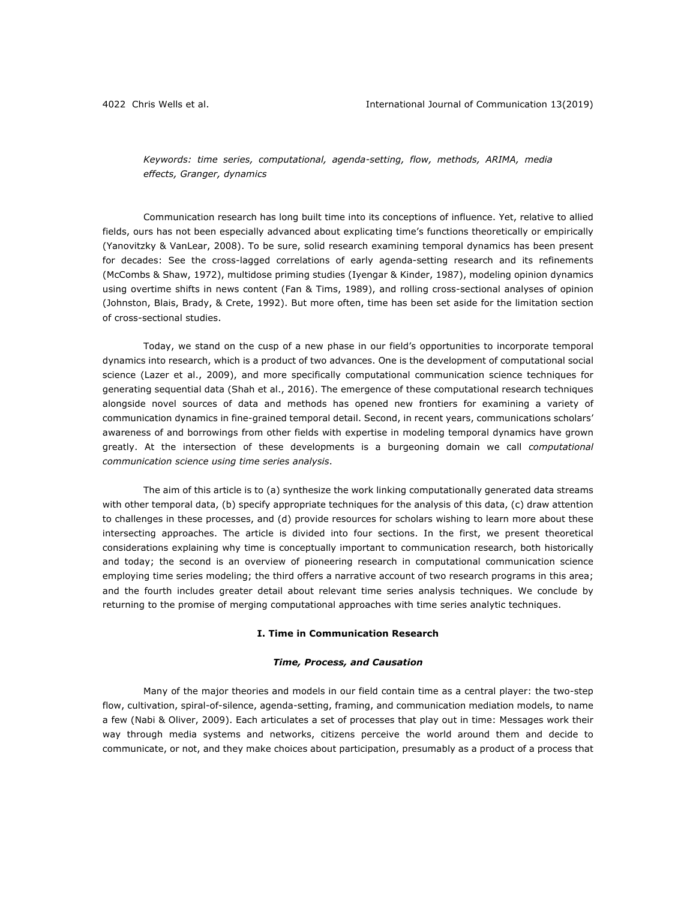*Keywords: time series, computational, agenda-setting, flow, methods, ARIMA, media effects, Granger, dynamics*

Communication research has long built time into its conceptions of influence. Yet, relative to allied fields, ours has not been especially advanced about explicating time's functions theoretically or empirically (Yanovitzky & VanLear, 2008). To be sure, solid research examining temporal dynamics has been present for decades: See the cross-lagged correlations of early agenda-setting research and its refinements (McCombs & Shaw, 1972), multidose priming studies (Iyengar & Kinder, 1987), modeling opinion dynamics using overtime shifts in news content (Fan & Tims, 1989), and rolling cross-sectional analyses of opinion (Johnston, Blais, Brady, & Crete, 1992). But more often, time has been set aside for the limitation section of cross-sectional studies.

Today, we stand on the cusp of a new phase in our field's opportunities to incorporate temporal dynamics into research, which is a product of two advances. One is the development of computational social science (Lazer et al., 2009), and more specifically computational communication science techniques for generating sequential data (Shah et al., 2016). The emergence of these computational research techniques alongside novel sources of data and methods has opened new frontiers for examining a variety of communication dynamics in fine-grained temporal detail. Second, in recent years, communications scholars' awareness of and borrowings from other fields with expertise in modeling temporal dynamics have grown greatly. At the intersection of these developments is a burgeoning domain we call *computational communication science using time series analysis*.

The aim of this article is to (a) synthesize the work linking computationally generated data streams with other temporal data, (b) specify appropriate techniques for the analysis of this data, (c) draw attention to challenges in these processes, and (d) provide resources for scholars wishing to learn more about these intersecting approaches. The article is divided into four sections. In the first, we present theoretical considerations explaining why time is conceptually important to communication research, both historically and today; the second is an overview of pioneering research in computational communication science employing time series modeling; the third offers a narrative account of two research programs in this area; and the fourth includes greater detail about relevant time series analysis techniques. We conclude by returning to the promise of merging computational approaches with time series analytic techniques.

### **I. Time in Communication Research**

### *Time, Process, and Causation*

Many of the major theories and models in our field contain time as a central player: the two-step flow, cultivation, spiral-of-silence, agenda-setting, framing, and communication mediation models, to name a few (Nabi & Oliver, 2009). Each articulates a set of processes that play out in time: Messages work their way through media systems and networks, citizens perceive the world around them and decide to communicate, or not, and they make choices about participation, presumably as a product of a process that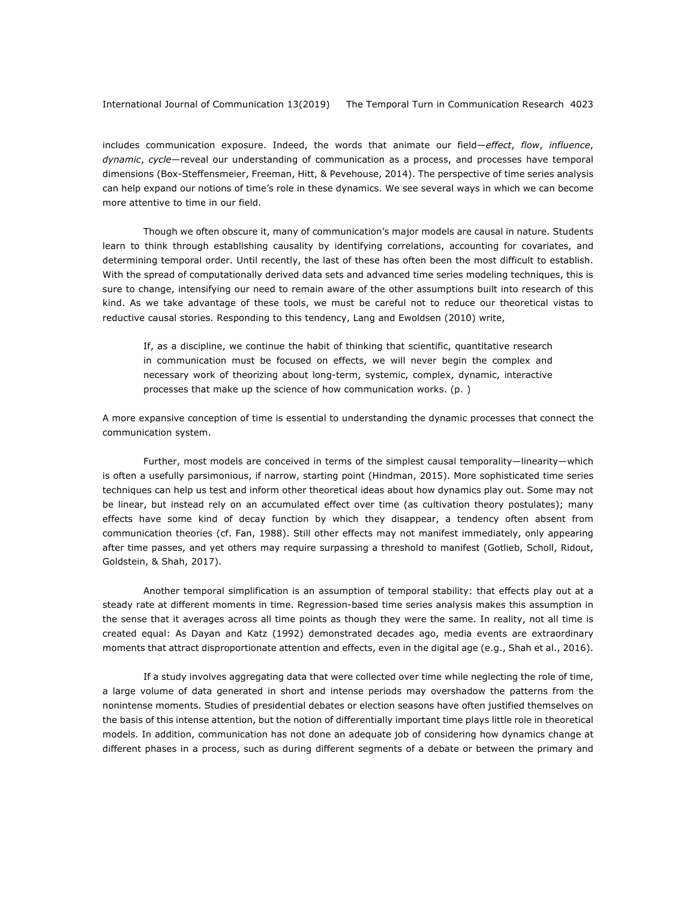includes communication exposure. Indeed, the words that animate our field—*effect*, *flow*, *influence*, *dynamic*, *cycle*—reveal our understanding of communication as a process, and processes have temporal dimensions (Box-Steffensmeier, Freeman, Hitt, & Pevehouse, 2014). The perspective of time series analysis can help expand our notions of time's role in these dynamics. We see several ways in which we can become more attentive to time in our field.

Though we often obscure it, many of communication's major models are causal in nature. Students learn to think through establishing causality by identifying correlations, accounting for covariates, and determining temporal order. Until recently, the last of these has often been the most difficult to establish. With the spread of computationally derived data sets and advanced time series modeling techniques, this is sure to change, intensifying our need to remain aware of the other assumptions built into research of this kind. As we take advantage of these tools, we must be careful not to reduce our theoretical vistas to reductive causal stories. Responding to this tendency, Lang and Ewoldsen (2010) write,

If, as a discipline, we continue the habit of thinking that scientific, quantitative research in communication must be focused on effects, we will never begin the complex and necessary work of theorizing about long-term, systemic, complex, dynamic, interactive processes that make up the science of how communication works. (p. )

A more expansive conception of time is essential to understanding the dynamic processes that connect the communication system.

Further, most models are conceived in terms of the simplest causal temporality—linearity—which is often a usefully parsimonious, if narrow, starting point (Hindman, 2015). More sophisticated time series techniques can help us test and inform other theoretical ideas about how dynamics play out. Some may not be linear, but instead rely on an accumulated effect over time (as cultivation theory postulates); many effects have some kind of decay function by which they disappear, a tendency often absent from communication theories (cf. Fan, 1988). Still other effects may not manifest immediately, only appearing after time passes, and yet others may require surpassing a threshold to manifest (Gotlieb, Scholl, Ridout, Goldstein, & Shah, 2017).

Another temporal simplification is an assumption of temporal stability: that effects play out at a steady rate at different moments in time. Regression-based time series analysis makes this assumption in the sense that it averages across all time points as though they were the same. In reality, not all time is created equal: As Dayan and Katz (1992) demonstrated decades ago, media events are extraordinary moments that attract disproportionate attention and effects, even in the digital age (e.g., Shah et al., 2016).

If a study involves aggregating data that were collected over time while neglecting the role of time, a large volume of data generated in short and intense periods may overshadow the patterns from the nonintense moments. Studies of presidential debates or election seasons have often justified themselves on the basis of this intense attention, but the notion of differentially important time plays little role in theoretical models. In addition, communication has not done an adequate job of considering how dynamics change at different phases in a process, such as during different segments of a debate or between the primary and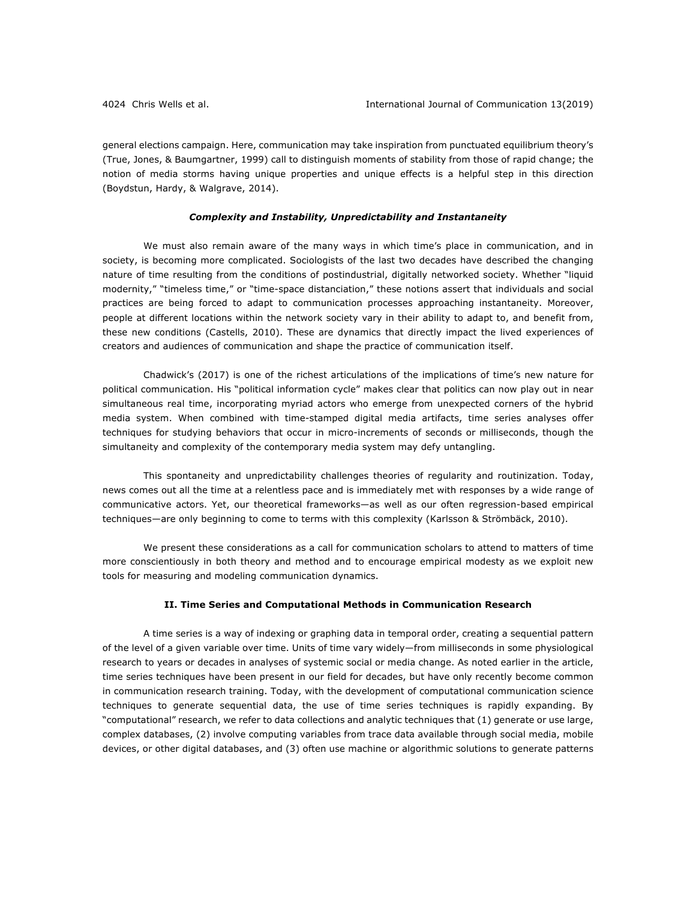general elections campaign. Here, communication may take inspiration from punctuated equilibrium theory's (True, Jones, & Baumgartner, 1999) call to distinguish moments of stability from those of rapid change; the notion of media storms having unique properties and unique effects is a helpful step in this direction (Boydstun, Hardy, & Walgrave, 2014).

### *Complexity and Instability, Unpredictability and Instantaneity*

We must also remain aware of the many ways in which time's place in communication, and in society, is becoming more complicated. Sociologists of the last two decades have described the changing nature of time resulting from the conditions of postindustrial, digitally networked society. Whether "liquid modernity," "timeless time," or "time-space distanciation," these notions assert that individuals and social practices are being forced to adapt to communication processes approaching instantaneity. Moreover, people at different locations within the network society vary in their ability to adapt to, and benefit from, these new conditions (Castells, 2010). These are dynamics that directly impact the lived experiences of creators and audiences of communication and shape the practice of communication itself.

Chadwick's (2017) is one of the richest articulations of the implications of time's new nature for political communication. His "political information cycle" makes clear that politics can now play out in near simultaneous real time, incorporating myriad actors who emerge from unexpected corners of the hybrid media system. When combined with time-stamped digital media artifacts, time series analyses offer techniques for studying behaviors that occur in micro-increments of seconds or milliseconds, though the simultaneity and complexity of the contemporary media system may defy untangling.

This spontaneity and unpredictability challenges theories of regularity and routinization. Today, news comes out all the time at a relentless pace and is immediately met with responses by a wide range of communicative actors. Yet, our theoretical frameworks—as well as our often regression-based empirical techniques—are only beginning to come to terms with this complexity (Karlsson & Strömbäck, 2010).

We present these considerations as a call for communication scholars to attend to matters of time more conscientiously in both theory and method and to encourage empirical modesty as we exploit new tools for measuring and modeling communication dynamics.

### **II. Time Series and Computational Methods in Communication Research**

A time series is a way of indexing or graphing data in temporal order, creating a sequential pattern of the level of a given variable over time. Units of time vary widely—from milliseconds in some physiological research to years or decades in analyses of systemic social or media change. As noted earlier in the article, time series techniques have been present in our field for decades, but have only recently become common in communication research training. Today, with the development of computational communication science techniques to generate sequential data, the use of time series techniques is rapidly expanding. By "computational" research, we refer to data collections and analytic techniques that (1) generate or use large, complex databases, (2) involve computing variables from trace data available through social media, mobile devices, or other digital databases, and (3) often use machine or algorithmic solutions to generate patterns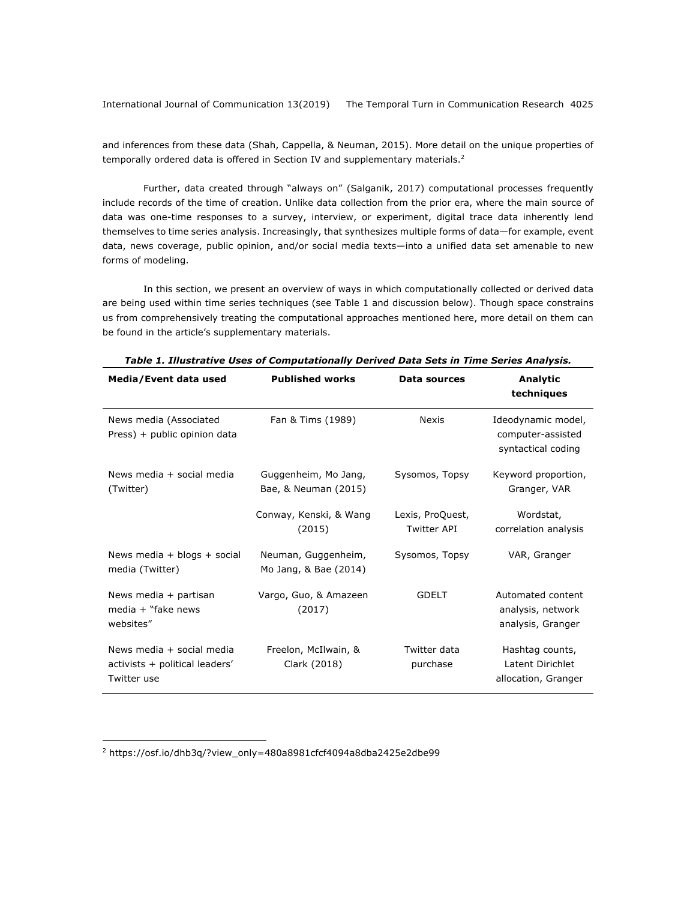and inferences from these data (Shah, Cappella, & Neuman, 2015). More detail on the unique properties of temporally ordered data is offered in Section IV and supplementary materials. $<sup>2</sup>$ </sup>

Further, data created through "always on" (Salganik, 2017) computational processes frequently include records of the time of creation. Unlike data collection from the prior era, where the main source of data was one-time responses to a survey, interview, or experiment, digital trace data inherently lend themselves to time series analysis. Increasingly, that synthesizes multiple forms of data—for example, event data, news coverage, public opinion, and/or social media texts—into a unified data set amenable to new forms of modeling.

In this section, we present an overview of ways in which computationally collected or derived data are being used within time series techniques (see Table 1 and discussion below). Though space constrains us from comprehensively treating the computational approaches mentioned here, more detail on them can be found in the article's supplementary materials.

| Media/Event data used                                                      | <b>Published works</b>                       | Data sources                           | Analytic<br>techniques                                        |
|----------------------------------------------------------------------------|----------------------------------------------|----------------------------------------|---------------------------------------------------------------|
| News media (Associated<br>Press) + public opinion data                     | Fan & Tims (1989)                            | Nexis                                  | Ideodynamic model,<br>computer-assisted<br>syntactical coding |
| News media + social media<br>(Twitter)                                     | Guggenheim, Mo Jang,<br>Bae, & Neuman (2015) | Sysomos, Topsy                         | Keyword proportion,<br>Granger, VAR                           |
|                                                                            | Conway, Kenski, & Wang<br>(2015)             | Lexis, ProQuest,<br><b>Twitter API</b> | Wordstat,<br>correlation analysis                             |
| News media + blogs + social<br>media (Twitter)                             | Neuman, Guggenheim,<br>Mo Jang, & Bae (2014) | Sysomos, Topsy                         | VAR, Granger                                                  |
| News media + partisan<br>media $+$ "fake news<br>websites"                 | Vargo, Guo, & Amazeen<br>(2017)              | <b>GDELT</b>                           | Automated content<br>analysis, network<br>analysis, Granger   |
| News media + social media<br>activists + political leaders'<br>Twitter use | Freelon, McIlwain, &<br>Clark (2018)         | Twitter data<br>purchase               | Hashtag counts,<br>Latent Dirichlet<br>allocation, Granger    |

*Table 1. Illustrative Uses of Computationally Derived Data Sets in Time Series Analysis.*

<sup>2</sup> https://osf.io/dhb3q/?view\_only=480a8981cfcf4094a8dba2425e2dbe99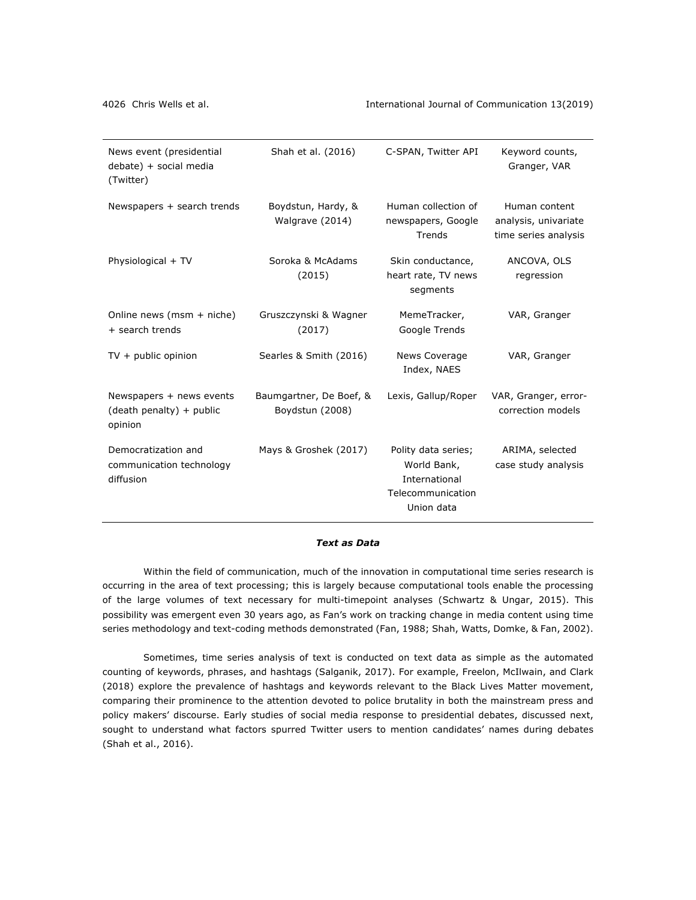| News event (presidential<br>debate) + social media<br>(Twitter) | Shah et al. (2016)                         | C-SPAN, Twitter API                                                                    | Keyword counts,<br>Granger, VAR                               |
|-----------------------------------------------------------------|--------------------------------------------|----------------------------------------------------------------------------------------|---------------------------------------------------------------|
| Newspapers + search trends                                      | Boydstun, Hardy, &<br>Walgrave (2014)      | Human collection of<br>newspapers, Google<br>Trends                                    | Human content<br>analysis, univariate<br>time series analysis |
| Physiological + TV                                              | Soroka & McAdams<br>(2015)                 | Skin conductance,<br>heart rate, TV news<br>segments                                   | ANCOVA, OLS<br>regression                                     |
| Online news (msm + niche)<br>+ search trends                    | Gruszczynski & Wagner<br>(2017)            | MemeTracker,<br>Google Trends                                                          | VAR, Granger                                                  |
| $TV + public$ opinion                                           | Searles & Smith (2016)                     | News Coverage<br>Index, NAES                                                           | VAR, Granger                                                  |
| Newspapers + news events<br>(death penalty) + public<br>opinion | Baumgartner, De Boef, &<br>Boydstun (2008) | Lexis, Gallup/Roper                                                                    | VAR, Granger, error-<br>correction models                     |
| Democratization and<br>communication technology<br>diffusion    | Mays & Groshek (2017)                      | Polity data series;<br>World Bank,<br>International<br>Telecommunication<br>Union data | ARIMA, selected<br>case study analysis                        |

### *Text as Data*

Within the field of communication, much of the innovation in computational time series research is occurring in the area of text processing; this is largely because computational tools enable the processing of the large volumes of text necessary for multi-timepoint analyses (Schwartz & Ungar, 2015). This possibility was emergent even 30 years ago, as Fan's work on tracking change in media content using time series methodology and text-coding methods demonstrated (Fan, 1988; Shah, Watts, Domke, & Fan, 2002).

Sometimes, time series analysis of text is conducted on text data as simple as the automated counting of keywords, phrases, and hashtags (Salganik, 2017). For example, Freelon, McIlwain, and Clark (2018) explore the prevalence of hashtags and keywords relevant to the Black Lives Matter movement, comparing their prominence to the attention devoted to police brutality in both the mainstream press and policy makers' discourse. Early studies of social media response to presidential debates, discussed next, sought to understand what factors spurred Twitter users to mention candidates' names during debates (Shah et al., 2016).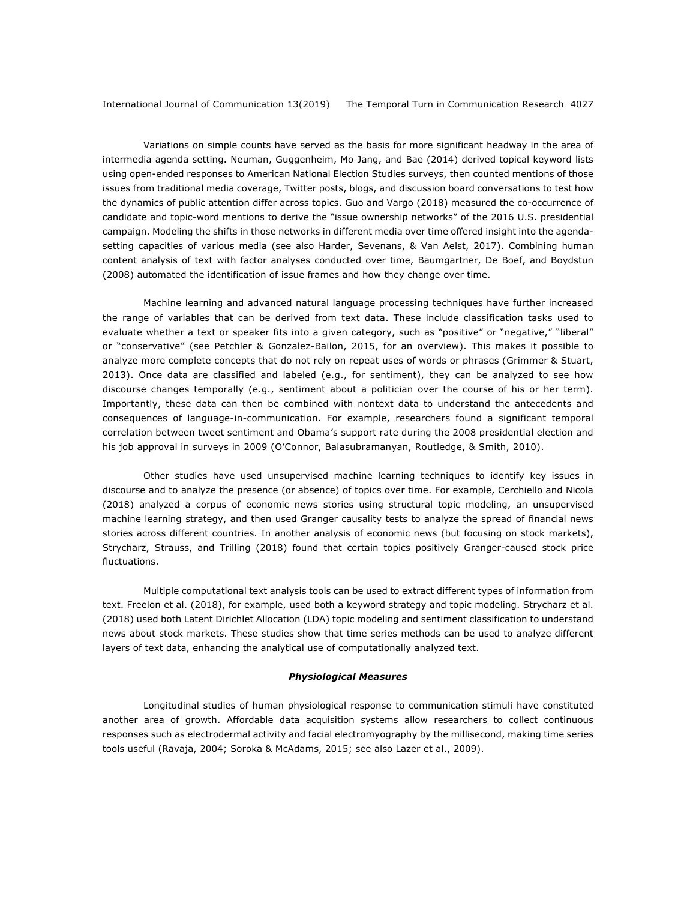Variations on simple counts have served as the basis for more significant headway in the area of intermedia agenda setting. Neuman, Guggenheim, Mo Jang, and Bae (2014) derived topical keyword lists using open-ended responses to American National Election Studies surveys, then counted mentions of those issues from traditional media coverage, Twitter posts, blogs, and discussion board conversations to test how the dynamics of public attention differ across topics. Guo and Vargo (2018) measured the co-occurrence of candidate and topic-word mentions to derive the "issue ownership networks" of the 2016 U.S. presidential campaign. Modeling the shifts in those networks in different media over time offered insight into the agendasetting capacities of various media (see also Harder, Sevenans, & Van Aelst, 2017). Combining human content analysis of text with factor analyses conducted over time, Baumgartner, De Boef, and Boydstun (2008) automated the identification of issue frames and how they change over time.

Machine learning and advanced natural language processing techniques have further increased the range of variables that can be derived from text data. These include classification tasks used to evaluate whether a text or speaker fits into a given category, such as "positive" or "negative," "liberal" or "conservative" (see Petchler & Gonzalez-Bailon, 2015, for an overview). This makes it possible to analyze more complete concepts that do not rely on repeat uses of words or phrases (Grimmer & Stuart, 2013). Once data are classified and labeled (e.g., for sentiment), they can be analyzed to see how discourse changes temporally (e.g., sentiment about a politician over the course of his or her term). Importantly, these data can then be combined with nontext data to understand the antecedents and consequences of language-in-communication. For example, researchers found a significant temporal correlation between tweet sentiment and Obama's support rate during the 2008 presidential election and his job approval in surveys in 2009 (O'Connor, Balasubramanyan, Routledge, & Smith, 2010).

Other studies have used unsupervised machine learning techniques to identify key issues in discourse and to analyze the presence (or absence) of topics over time. For example, Cerchiello and Nicola (2018) analyzed a corpus of economic news stories using structural topic modeling, an unsupervised machine learning strategy, and then used Granger causality tests to analyze the spread of financial news stories across different countries. In another analysis of economic news (but focusing on stock markets), Strycharz, Strauss, and Trilling (2018) found that certain topics positively Granger-caused stock price fluctuations.

Multiple computational text analysis tools can be used to extract different types of information from text. Freelon et al. (2018), for example, used both a keyword strategy and topic modeling. Strycharz et al. (2018) used both Latent Dirichlet Allocation (LDA) topic modeling and sentiment classification to understand news about stock markets. These studies show that time series methods can be used to analyze different layers of text data, enhancing the analytical use of computationally analyzed text.

#### *Physiological Measures*

Longitudinal studies of human physiological response to communication stimuli have constituted another area of growth. Affordable data acquisition systems allow researchers to collect continuous responses such as electrodermal activity and facial electromyography by the millisecond, making time series tools useful (Ravaja, 2004; Soroka & McAdams, 2015; see also Lazer et al., 2009).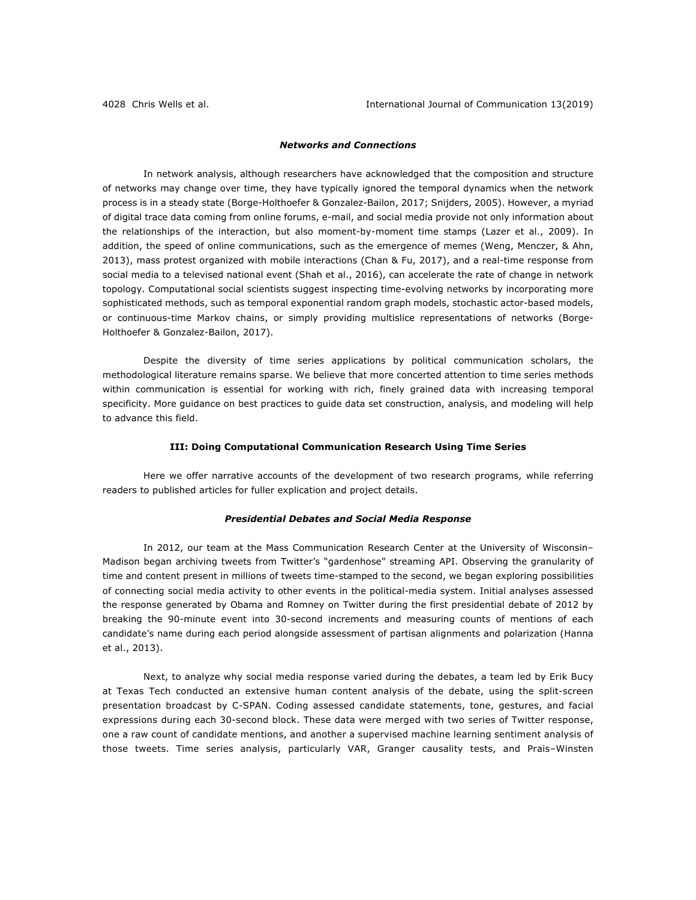### *Networks and Connections*

In network analysis, although researchers have acknowledged that the composition and structure of networks may change over time, they have typically ignored the temporal dynamics when the network process is in a steady state (Borge-Holthoefer & Gonzalez-Bailon, 2017; Snijders, 2005). However, a myriad of digital trace data coming from online forums, e-mail, and social media provide not only information about the relationships of the interaction, but also moment-by-moment time stamps (Lazer et al., 2009). In addition, the speed of online communications, such as the emergence of memes (Weng, Menczer, & Ahn, 2013), mass protest organized with mobile interactions (Chan & Fu, 2017), and a real-time response from social media to a televised national event (Shah et al., 2016), can accelerate the rate of change in network topology. Computational social scientists suggest inspecting time-evolving networks by incorporating more sophisticated methods, such as temporal exponential random graph models, stochastic actor-based models, or continuous-time Markov chains, or simply providing multislice representations of networks (Borge-Holthoefer & Gonzalez-Bailon, 2017).

Despite the diversity of time series applications by political communication scholars, the methodological literature remains sparse. We believe that more concerted attention to time series methods within communication is essential for working with rich, finely grained data with increasing temporal specificity. More guidance on best practices to guide data set construction, analysis, and modeling will help to advance this field.

### **III: Doing Computational Communication Research Using Time Series**

Here we offer narrative accounts of the development of two research programs, while referring readers to published articles for fuller explication and project details.

#### *Presidential Debates and Social Media Response*

In 2012, our team at the Mass Communication Research Center at the University of Wisconsin– Madison began archiving tweets from Twitter's "gardenhose" streaming API. Observing the granularity of time and content present in millions of tweets time-stamped to the second, we began exploring possibilities of connecting social media activity to other events in the political-media system. Initial analyses assessed the response generated by Obama and Romney on Twitter during the first presidential debate of 2012 by breaking the 90-minute event into 30-second increments and measuring counts of mentions of each candidate's name during each period alongside assessment of partisan alignments and polarization (Hanna et al., 2013).

Next, to analyze why social media response varied during the debates, a team led by Erik Bucy at Texas Tech conducted an extensive human content analysis of the debate, using the split-screen presentation broadcast by C-SPAN. Coding assessed candidate statements, tone, gestures, and facial expressions during each 30-second block. These data were merged with two series of Twitter response, one a raw count of candidate mentions, and another a supervised machine learning sentiment analysis of those tweets. Time series analysis, particularly VAR, Granger causality tests, and Prais–Winsten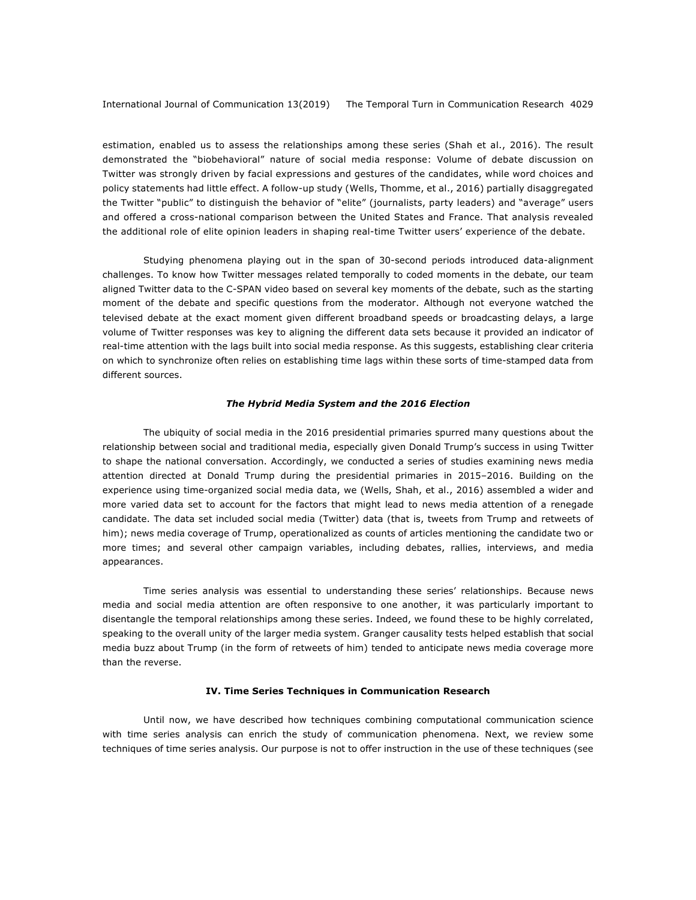estimation, enabled us to assess the relationships among these series (Shah et al., 2016). The result demonstrated the "biobehavioral" nature of social media response: Volume of debate discussion on Twitter was strongly driven by facial expressions and gestures of the candidates, while word choices and policy statements had little effect. A follow-up study (Wells, Thomme, et al., 2016) partially disaggregated the Twitter "public" to distinguish the behavior of "elite" (journalists, party leaders) and "average" users and offered a cross-national comparison between the United States and France. That analysis revealed the additional role of elite opinion leaders in shaping real-time Twitter users' experience of the debate.

Studying phenomena playing out in the span of 30-second periods introduced data-alignment challenges. To know how Twitter messages related temporally to coded moments in the debate, our team aligned Twitter data to the C-SPAN video based on several key moments of the debate, such as the starting moment of the debate and specific questions from the moderator. Although not everyone watched the televised debate at the exact moment given different broadband speeds or broadcasting delays, a large volume of Twitter responses was key to aligning the different data sets because it provided an indicator of real-time attention with the lags built into social media response. As this suggests, establishing clear criteria on which to synchronize often relies on establishing time lags within these sorts of time-stamped data from different sources.

### *The Hybrid Media System and the 2016 Election*

The ubiquity of social media in the 2016 presidential primaries spurred many questions about the relationship between social and traditional media, especially given Donald Trump's success in using Twitter to shape the national conversation. Accordingly, we conducted a series of studies examining news media attention directed at Donald Trump during the presidential primaries in 2015–2016. Building on the experience using time-organized social media data, we (Wells, Shah, et al., 2016) assembled a wider and more varied data set to account for the factors that might lead to news media attention of a renegade candidate. The data set included social media (Twitter) data (that is, tweets from Trump and retweets of him); news media coverage of Trump, operationalized as counts of articles mentioning the candidate two or more times; and several other campaign variables, including debates, rallies, interviews, and media appearances.

Time series analysis was essential to understanding these series' relationships. Because news media and social media attention are often responsive to one another, it was particularly important to disentangle the temporal relationships among these series. Indeed, we found these to be highly correlated, speaking to the overall unity of the larger media system. Granger causality tests helped establish that social media buzz about Trump (in the form of retweets of him) tended to anticipate news media coverage more than the reverse.

### **IV. Time Series Techniques in Communication Research**

Until now, we have described how techniques combining computational communication science with time series analysis can enrich the study of communication phenomena. Next, we review some techniques of time series analysis. Our purpose is not to offer instruction in the use of these techniques (see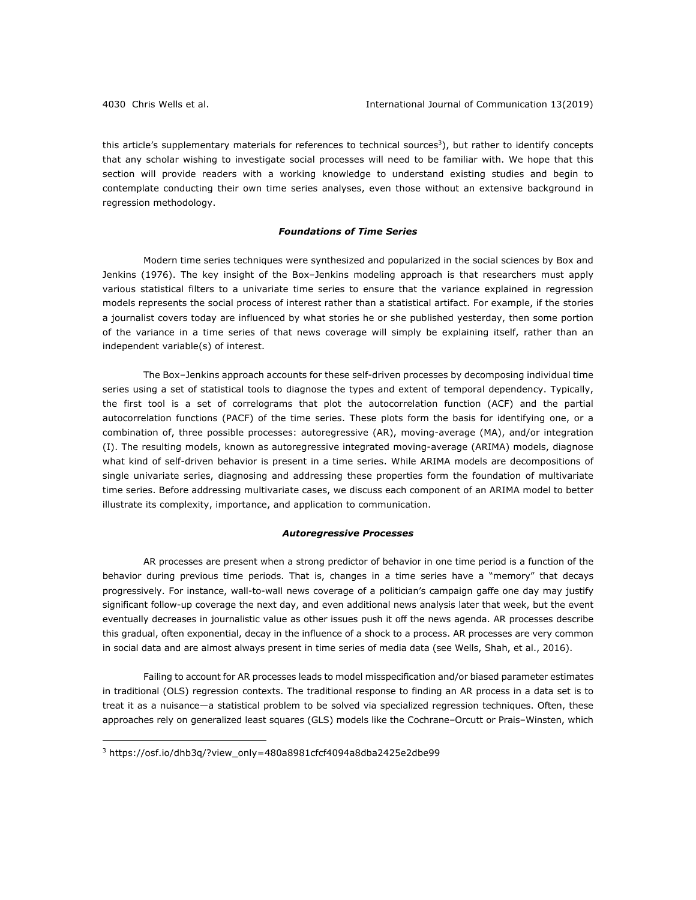this article's supplementary materials for references to technical sources<sup>3</sup>), but rather to identify concepts that any scholar wishing to investigate social processes will need to be familiar with. We hope that this section will provide readers with a working knowledge to understand existing studies and begin to contemplate conducting their own time series analyses, even those without an extensive background in regression methodology.

## *Foundations of Time Series*

Modern time series techniques were synthesized and popularized in the social sciences by Box and Jenkins (1976). The key insight of the Box–Jenkins modeling approach is that researchers must apply various statistical filters to a univariate time series to ensure that the variance explained in regression models represents the social process of interest rather than a statistical artifact. For example, if the stories a journalist covers today are influenced by what stories he or she published yesterday, then some portion of the variance in a time series of that news coverage will simply be explaining itself, rather than an independent variable(s) of interest.

The Box–Jenkins approach accounts for these self-driven processes by decomposing individual time series using a set of statistical tools to diagnose the types and extent of temporal dependency. Typically, the first tool is a set of correlograms that plot the autocorrelation function (ACF) and the partial autocorrelation functions (PACF) of the time series. These plots form the basis for identifying one, or a combination of, three possible processes: autoregressive (AR), moving-average (MA), and/or integration (I). The resulting models, known as autoregressive integrated moving-average (ARIMA) models, diagnose what kind of self-driven behavior is present in a time series. While ARIMA models are decompositions of single univariate series, diagnosing and addressing these properties form the foundation of multivariate time series. Before addressing multivariate cases, we discuss each component of an ARIMA model to better illustrate its complexity, importance, and application to communication.

### *Autoregressive Processes*

AR processes are present when a strong predictor of behavior in one time period is a function of the behavior during previous time periods. That is, changes in a time series have a "memory" that decays progressively. For instance, wall-to-wall news coverage of a politician's campaign gaffe one day may justify significant follow-up coverage the next day, and even additional news analysis later that week, but the event eventually decreases in journalistic value as other issues push it off the news agenda. AR processes describe this gradual, often exponential, decay in the influence of a shock to a process. AR processes are very common in social data and are almost always present in time series of media data (see Wells, Shah, et al., 2016).

Failing to account for AR processes leads to model misspecification and/or biased parameter estimates in traditional (OLS) regression contexts. The traditional response to finding an AR process in a data set is to treat it as a nuisance—a statistical problem to be solved via specialized regression techniques. Often, these approaches rely on generalized least squares (GLS) models like the Cochrane–Orcutt or Prais–Winsten, which

<sup>&</sup>lt;sup>3</sup> https://osf.io/dhb3q/?view\_only=480a8981cfcf4094a8dba2425e2dbe99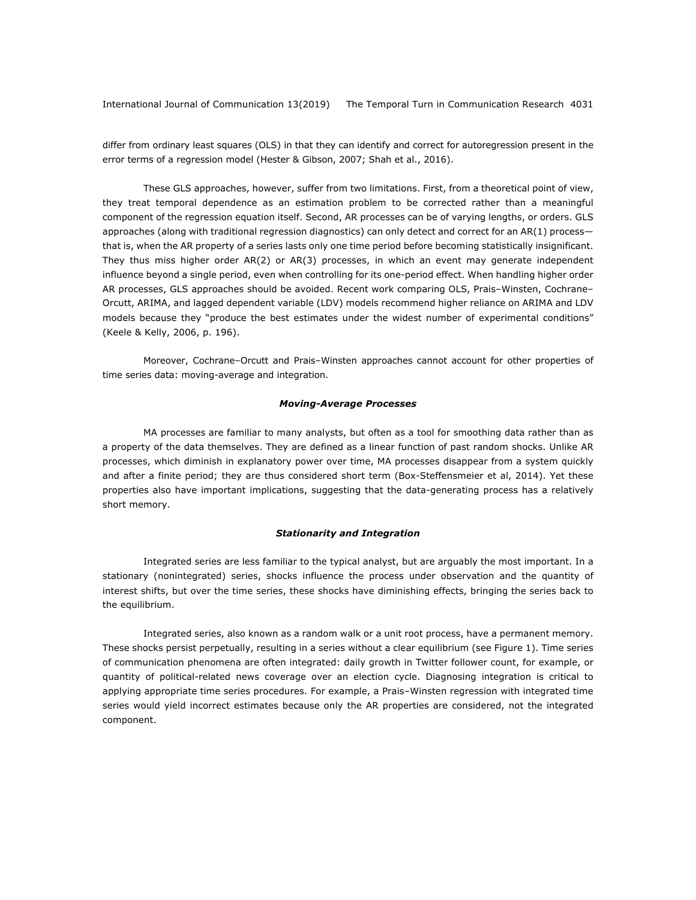differ from ordinary least squares (OLS) in that they can identify and correct for autoregression present in the error terms of a regression model (Hester & Gibson, 2007; Shah et al., 2016).

These GLS approaches, however, suffer from two limitations. First, from a theoretical point of view, they treat temporal dependence as an estimation problem to be corrected rather than a meaningful component of the regression equation itself. Second, AR processes can be of varying lengths, or orders. GLS approaches (along with traditional regression diagnostics) can only detect and correct for an AR(1) processthat is, when the AR property of a series lasts only one time period before becoming statistically insignificant. They thus miss higher order AR(2) or AR(3) processes, in which an event may generate independent influence beyond a single period, even when controlling for its one-period effect. When handling higher order AR processes, GLS approaches should be avoided. Recent work comparing OLS, Prais–Winsten, Cochrane– Orcutt, ARIMA, and lagged dependent variable (LDV) models recommend higher reliance on ARIMA and LDV models because they "produce the best estimates under the widest number of experimental conditions" (Keele & Kelly, 2006, p. 196).

Moreover, Cochrane–Orcutt and Prais–Winsten approaches cannot account for other properties of time series data: moving-average and integration.

### *Moving-Average Processes*

MA processes are familiar to many analysts, but often as a tool for smoothing data rather than as a property of the data themselves. They are defined as a linear function of past random shocks. Unlike AR processes, which diminish in explanatory power over time, MA processes disappear from a system quickly and after a finite period; they are thus considered short term (Box-Steffensmeier et al, 2014). Yet these properties also have important implications, suggesting that the data-generating process has a relatively short memory.

### *Stationarity and Integration*

Integrated series are less familiar to the typical analyst, but are arguably the most important. In a stationary (nonintegrated) series, shocks influence the process under observation and the quantity of interest shifts, but over the time series, these shocks have diminishing effects, bringing the series back to the equilibrium.

Integrated series, also known as a random walk or a unit root process, have a permanent memory. These shocks persist perpetually, resulting in a series without a clear equilibrium (see Figure 1). Time series of communication phenomena are often integrated: daily growth in Twitter follower count, for example, or quantity of political-related news coverage over an election cycle. Diagnosing integration is critical to applying appropriate time series procedures. For example, a Prais–Winsten regression with integrated time series would yield incorrect estimates because only the AR properties are considered, not the integrated component.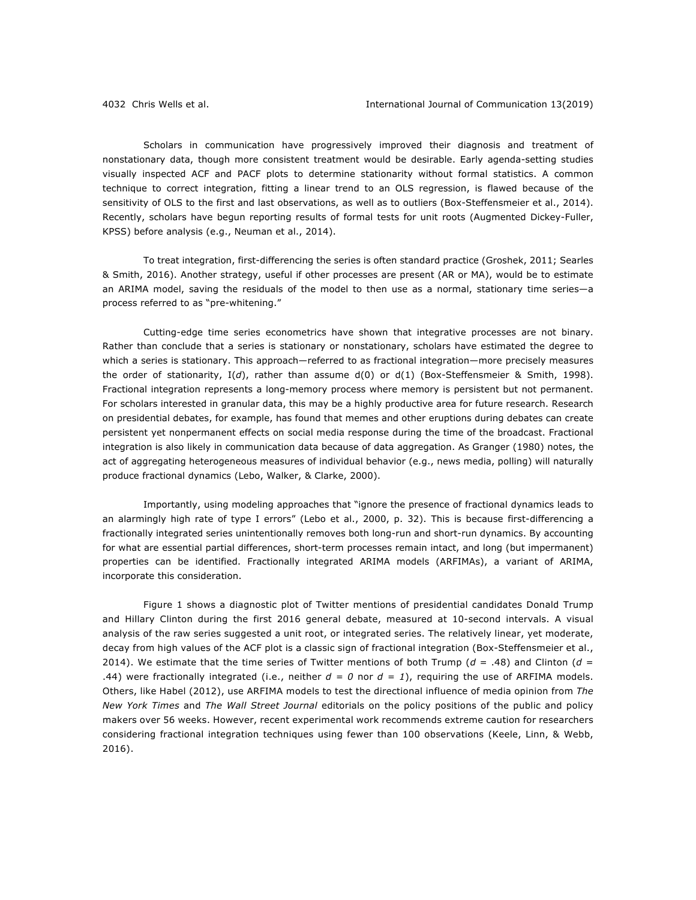Scholars in communication have progressively improved their diagnosis and treatment of nonstationary data, though more consistent treatment would be desirable. Early agenda-setting studies visually inspected ACF and PACF plots to determine stationarity without formal statistics. A common technique to correct integration, fitting a linear trend to an OLS regression, is flawed because of the sensitivity of OLS to the first and last observations, as well as to outliers (Box-Steffensmeier et al., 2014). Recently, scholars have begun reporting results of formal tests for unit roots (Augmented Dickey-Fuller, KPSS) before analysis (e.g., Neuman et al., 2014).

To treat integration, first-differencing the series is often standard practice (Groshek, 2011; Searles & Smith, 2016). Another strategy, useful if other processes are present (AR or MA), would be to estimate an ARIMA model, saving the residuals of the model to then use as a normal, stationary time series—a process referred to as "pre-whitening."

Cutting-edge time series econometrics have shown that integrative processes are not binary. Rather than conclude that a series is stationary or nonstationary, scholars have estimated the degree to which a series is stationary. This approach—referred to as fractional integration—more precisely measures the order of stationarity, I(*d*), rather than assume d(0) or d(1) (Box-Steffensmeier & Smith, 1998). Fractional integration represents a long-memory process where memory is persistent but not permanent. For scholars interested in granular data, this may be a highly productive area for future research. Research on presidential debates, for example, has found that memes and other eruptions during debates can create persistent yet nonpermanent effects on social media response during the time of the broadcast. Fractional integration is also likely in communication data because of data aggregation. As Granger (1980) notes, the act of aggregating heterogeneous measures of individual behavior (e.g., news media, polling) will naturally produce fractional dynamics (Lebo, Walker, & Clarke, 2000).

Importantly, using modeling approaches that "ignore the presence of fractional dynamics leads to an alarmingly high rate of type I errors" (Lebo et al., 2000, p. 32). This is because first-differencing a fractionally integrated series unintentionally removes both long-run and short-run dynamics. By accounting for what are essential partial differences, short-term processes remain intact, and long (but impermanent) properties can be identified. Fractionally integrated ARIMA models (ARFIMAs), a variant of ARIMA, incorporate this consideration.

Figure 1 shows a diagnostic plot of Twitter mentions of presidential candidates Donald Trump and Hillary Clinton during the first 2016 general debate, measured at 10-second intervals. A visual analysis of the raw series suggested a unit root, or integrated series. The relatively linear, yet moderate, decay from high values of the ACF plot is a classic sign of fractional integration (Box-Steffensmeier et al., 2014). We estimate that the time series of Twitter mentions of both Trump ( $d = .48$ ) and Clinton ( $d =$ .44) were fractionally integrated (i.e., neither  $d = 0$  nor  $d = 1$ ), requiring the use of ARFIMA models. Others, like Habel (2012), use ARFIMA models to test the directional influence of media opinion from *The New York Times* and *The Wall Street Journal* editorials on the policy positions of the public and policy makers over 56 weeks. However, recent experimental work recommends extreme caution for researchers considering fractional integration techniques using fewer than 100 observations (Keele, Linn, & Webb, 2016).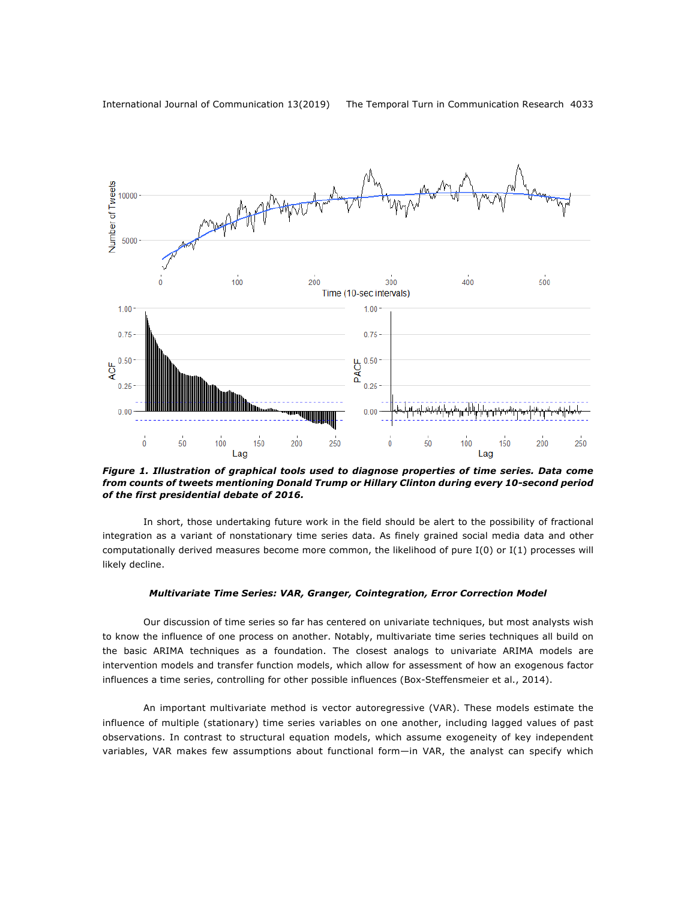

*Figure 1. Illustration of graphical tools used to diagnose properties of time series. Data come from counts of tweets mentioning Donald Trump or Hillary Clinton during every 10-second period of the first presidential debate of 2016.*

In short, those undertaking future work in the field should be alert to the possibility of fractional integration as a variant of nonstationary time series data. As finely grained social media data and other computationally derived measures become more common, the likelihood of pure I(0) or I(1) processes will likely decline.

### *Multivariate Time Series: VAR, Granger, Cointegration, Error Correction Model*

Our discussion of time series so far has centered on univariate techniques, but most analysts wish to know the influence of one process on another. Notably, multivariate time series techniques all build on the basic ARIMA techniques as a foundation. The closest analogs to univariate ARIMA models are intervention models and transfer function models, which allow for assessment of how an exogenous factor influences a time series, controlling for other possible influences (Box-Steffensmeier et al., 2014).

An important multivariate method is vector autoregressive (VAR). These models estimate the influence of multiple (stationary) time series variables on one another, including lagged values of past observations. In contrast to structural equation models, which assume exogeneity of key independent variables, VAR makes few assumptions about functional form—in VAR, the analyst can specify which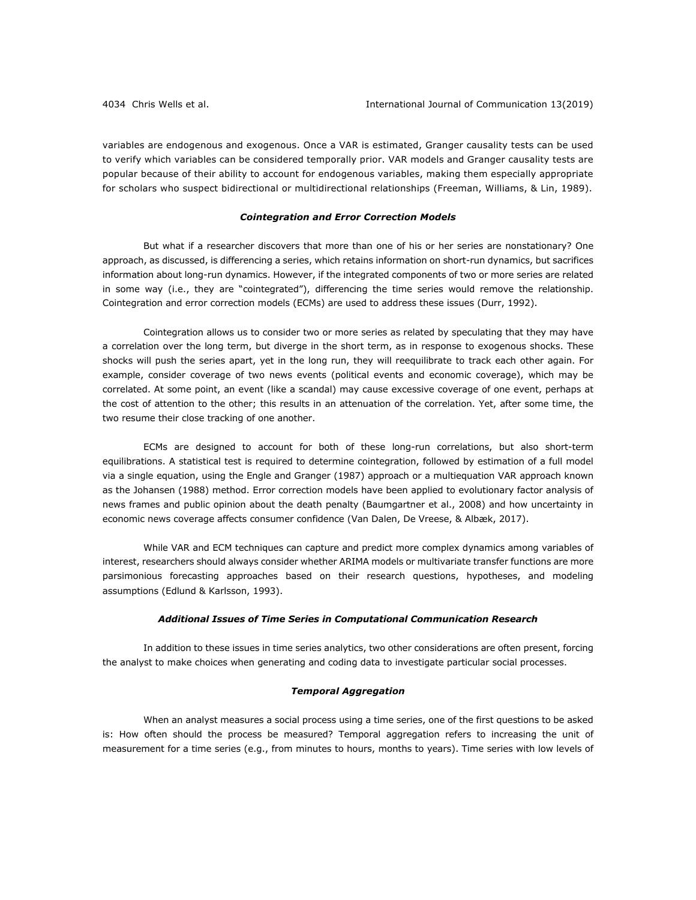variables are endogenous and exogenous. Once a VAR is estimated, Granger causality tests can be used to verify which variables can be considered temporally prior. VAR models and Granger causality tests are popular because of their ability to account for endogenous variables, making them especially appropriate for scholars who suspect bidirectional or multidirectional relationships (Freeman, Williams, & Lin, 1989).

### *Cointegration and Error Correction Models*

But what if a researcher discovers that more than one of his or her series are nonstationary? One approach, as discussed, is differencing a series, which retains information on short-run dynamics, but sacrifices information about long-run dynamics. However, if the integrated components of two or more series are related in some way (i.e., they are "cointegrated"), differencing the time series would remove the relationship. Cointegration and error correction models (ECMs) are used to address these issues (Durr, 1992).

Cointegration allows us to consider two or more series as related by speculating that they may have a correlation over the long term, but diverge in the short term, as in response to exogenous shocks. These shocks will push the series apart, yet in the long run, they will reequilibrate to track each other again. For example, consider coverage of two news events (political events and economic coverage), which may be correlated. At some point, an event (like a scandal) may cause excessive coverage of one event, perhaps at the cost of attention to the other; this results in an attenuation of the correlation. Yet, after some time, the two resume their close tracking of one another.

ECMs are designed to account for both of these long-run correlations, but also short-term equilibrations. A statistical test is required to determine cointegration, followed by estimation of a full model via a single equation, using the Engle and Granger (1987) approach or a multiequation VAR approach known as the Johansen (1988) method. Error correction models have been applied to evolutionary factor analysis of news frames and public opinion about the death penalty (Baumgartner et al., 2008) and how uncertainty in economic news coverage affects consumer confidence (Van Dalen, De Vreese, & Albæk, 2017).

While VAR and ECM techniques can capture and predict more complex dynamics among variables of interest, researchers should always consider whether ARIMA models or multivariate transfer functions are more parsimonious forecasting approaches based on their research questions, hypotheses, and modeling assumptions (Edlund & Karlsson, 1993).

### *Additional Issues of Time Series in Computational Communication Research*

In addition to these issues in time series analytics, two other considerations are often present, forcing the analyst to make choices when generating and coding data to investigate particular social processes.

### *Temporal Aggregation*

When an analyst measures a social process using a time series, one of the first questions to be asked is: How often should the process be measured? Temporal aggregation refers to increasing the unit of measurement for a time series (e.g., from minutes to hours, months to years). Time series with low levels of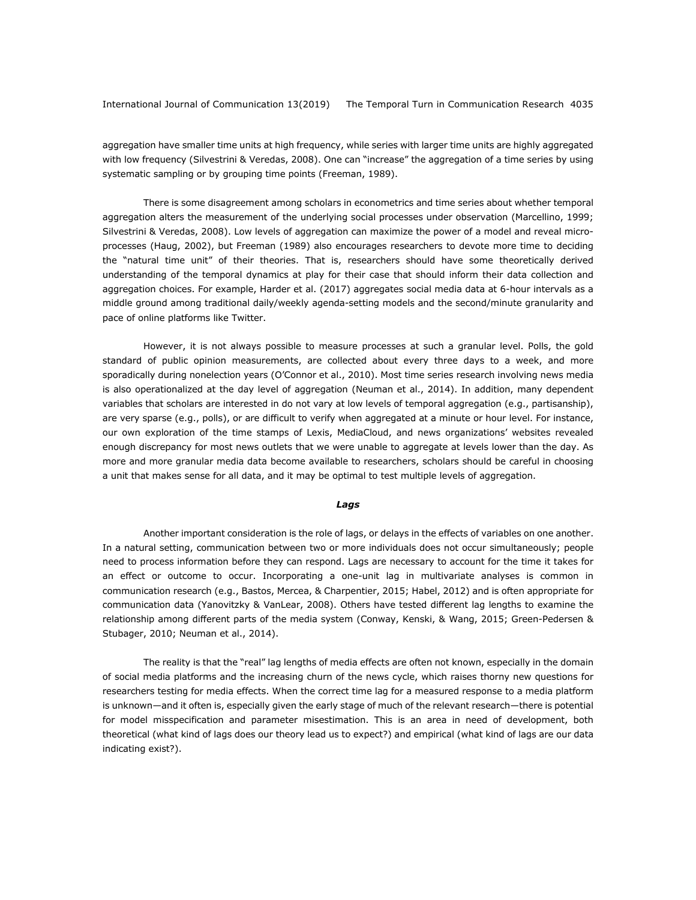aggregation have smaller time units at high frequency, while series with larger time units are highly aggregated with low frequency (Silvestrini & Veredas, 2008). One can "increase" the aggregation of a time series by using systematic sampling or by grouping time points (Freeman, 1989).

There is some disagreement among scholars in econometrics and time series about whether temporal aggregation alters the measurement of the underlying social processes under observation (Marcellino, 1999; Silvestrini & Veredas, 2008). Low levels of aggregation can maximize the power of a model and reveal microprocesses (Haug, 2002), but Freeman (1989) also encourages researchers to devote more time to deciding the "natural time unit" of their theories. That is, researchers should have some theoretically derived understanding of the temporal dynamics at play for their case that should inform their data collection and aggregation choices. For example, Harder et al. (2017) aggregates social media data at 6-hour intervals as a middle ground among traditional daily/weekly agenda-setting models and the second/minute granularity and pace of online platforms like Twitter.

However, it is not always possible to measure processes at such a granular level. Polls, the gold standard of public opinion measurements, are collected about every three days to a week, and more sporadically during nonelection years (O'Connor et al., 2010). Most time series research involving news media is also operationalized at the day level of aggregation (Neuman et al., 2014). In addition, many dependent variables that scholars are interested in do not vary at low levels of temporal aggregation (e.g., partisanship), are very sparse (e.g., polls), or are difficult to verify when aggregated at a minute or hour level. For instance, our own exploration of the time stamps of Lexis, MediaCloud, and news organizations' websites revealed enough discrepancy for most news outlets that we were unable to aggregate at levels lower than the day. As more and more granular media data become available to researchers, scholars should be careful in choosing a unit that makes sense for all data, and it may be optimal to test multiple levels of aggregation.

#### *Lags*

Another important consideration is the role of lags, or delays in the effects of variables on one another. In a natural setting, communication between two or more individuals does not occur simultaneously; people need to process information before they can respond. Lags are necessary to account for the time it takes for an effect or outcome to occur. Incorporating a one-unit lag in multivariate analyses is common in communication research (e.g., Bastos, Mercea, & Charpentier, 2015; Habel, 2012) and is often appropriate for communication data (Yanovitzky & VanLear, 2008). Others have tested different lag lengths to examine the relationship among different parts of the media system (Conway, Kenski, & Wang, 2015; Green-Pedersen & Stubager, 2010; Neuman et al., 2014).

The reality is that the "real" lag lengths of media effects are often not known, especially in the domain of social media platforms and the increasing churn of the news cycle, which raises thorny new questions for researchers testing for media effects. When the correct time lag for a measured response to a media platform is unknown—and it often is, especially given the early stage of much of the relevant research—there is potential for model misspecification and parameter misestimation. This is an area in need of development, both theoretical (what kind of lags does our theory lead us to expect?) and empirical (what kind of lags are our data indicating exist?).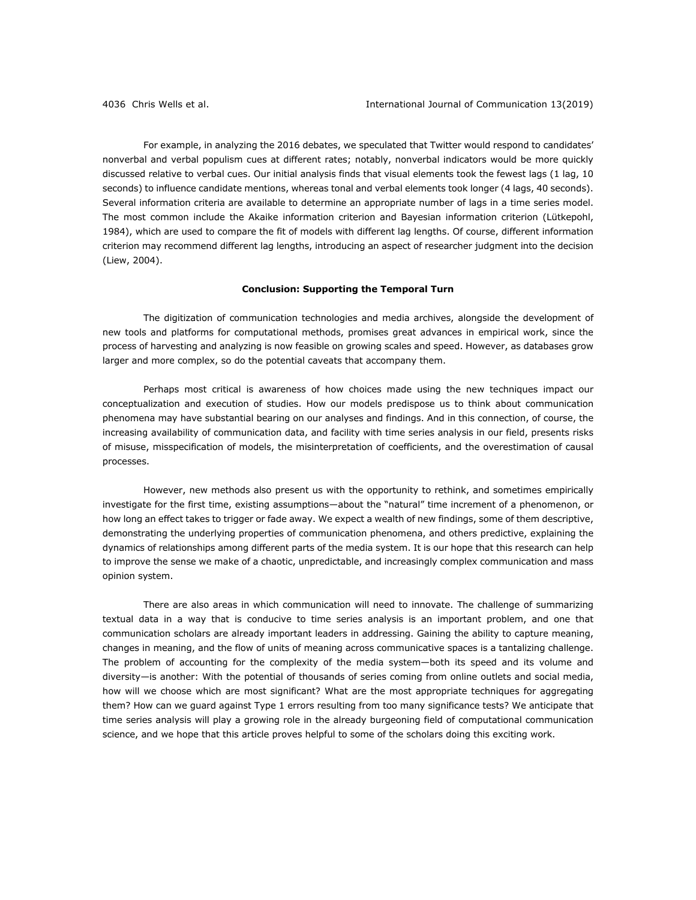For example, in analyzing the 2016 debates, we speculated that Twitter would respond to candidates' nonverbal and verbal populism cues at different rates; notably, nonverbal indicators would be more quickly discussed relative to verbal cues. Our initial analysis finds that visual elements took the fewest lags (1 lag, 10 seconds) to influence candidate mentions, whereas tonal and verbal elements took longer (4 lags, 40 seconds). Several information criteria are available to determine an appropriate number of lags in a time series model. The most common include the Akaike information criterion and Bayesian information criterion (Lütkepohl, 1984), which are used to compare the fit of models with different lag lengths. Of course, different information criterion may recommend different lag lengths, introducing an aspect of researcher judgment into the decision (Liew, 2004).

### **Conclusion: Supporting the Temporal Turn**

The digitization of communication technologies and media archives, alongside the development of new tools and platforms for computational methods, promises great advances in empirical work, since the process of harvesting and analyzing is now feasible on growing scales and speed. However, as databases grow larger and more complex, so do the potential caveats that accompany them.

Perhaps most critical is awareness of how choices made using the new techniques impact our conceptualization and execution of studies. How our models predispose us to think about communication phenomena may have substantial bearing on our analyses and findings. And in this connection, of course, the increasing availability of communication data, and facility with time series analysis in our field, presents risks of misuse, misspecification of models, the misinterpretation of coefficients, and the overestimation of causal processes.

However, new methods also present us with the opportunity to rethink, and sometimes empirically investigate for the first time, existing assumptions—about the "natural" time increment of a phenomenon, or how long an effect takes to trigger or fade away. We expect a wealth of new findings, some of them descriptive, demonstrating the underlying properties of communication phenomena, and others predictive, explaining the dynamics of relationships among different parts of the media system. It is our hope that this research can help to improve the sense we make of a chaotic, unpredictable, and increasingly complex communication and mass opinion system.

There are also areas in which communication will need to innovate. The challenge of summarizing textual data in a way that is conducive to time series analysis is an important problem, and one that communication scholars are already important leaders in addressing. Gaining the ability to capture meaning, changes in meaning, and the flow of units of meaning across communicative spaces is a tantalizing challenge. The problem of accounting for the complexity of the media system—both its speed and its volume and diversity—is another: With the potential of thousands of series coming from online outlets and social media, how will we choose which are most significant? What are the most appropriate techniques for aggregating them? How can we guard against Type 1 errors resulting from too many significance tests? We anticipate that time series analysis will play a growing role in the already burgeoning field of computational communication science, and we hope that this article proves helpful to some of the scholars doing this exciting work.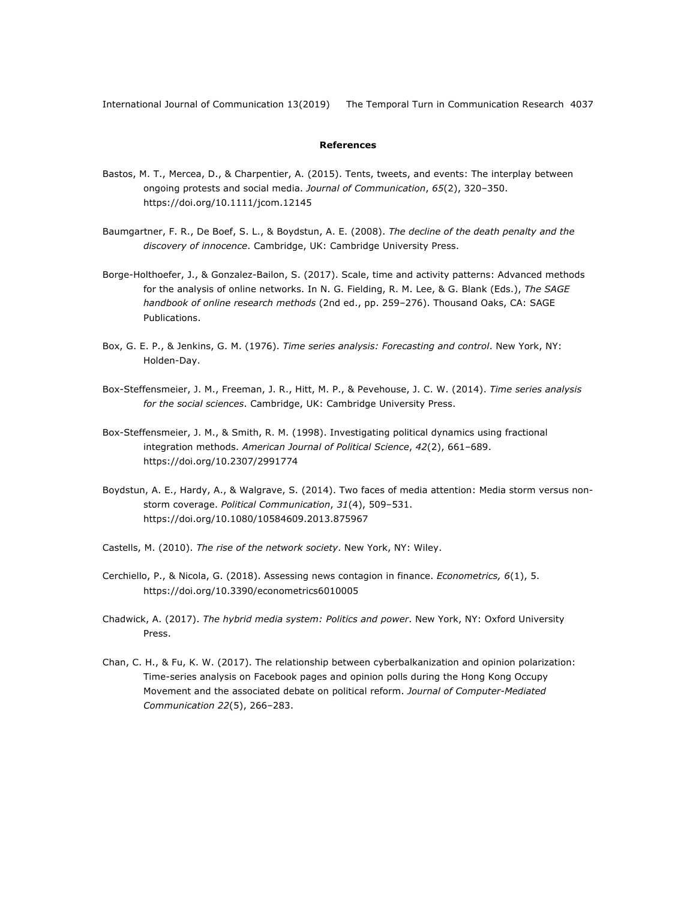# **References**

- Bastos, M. T., Mercea, D., & Charpentier, A. (2015). Tents, tweets, and events: The interplay between ongoing protests and social media. *Journal of Communication*, *65*(2), 320–350. https://doi.org/10.1111/jcom.12145
- Baumgartner, F. R., De Boef, S. L., & Boydstun, A. E. (2008). *The decline of the death penalty and the discovery of innocence*. Cambridge, UK: Cambridge University Press.
- Borge-Holthoefer, J., & Gonzalez-Bailon, S. (2017). Scale, time and activity patterns: Advanced methods for the analysis of online networks. In N. G. Fielding, R. M. Lee, & G. Blank (Eds.), *The SAGE handbook of online research methods* (2nd ed., pp. 259–276). Thousand Oaks, CA: SAGE Publications.
- Box, G. E. P., & Jenkins, G. M. (1976). *Time series analysis: Forecasting and control*. New York, NY: Holden-Day.
- Box-Steffensmeier, J. M., Freeman, J. R., Hitt, M. P., & Pevehouse, J. C. W. (2014). *Time series analysis for the social sciences*. Cambridge, UK: Cambridge University Press.
- Box-Steffensmeier, J. M., & Smith, R. M. (1998). Investigating political dynamics using fractional integration methods. *American Journal of Political Science*, *42*(2), 661–689. https://doi.org/10.2307/2991774
- Boydstun, A. E., Hardy, A., & Walgrave, S. (2014). Two faces of media attention: Media storm versus nonstorm coverage. *Political Communication*, *31*(4), 509–531. https://doi.org/10.1080/10584609.2013.875967
- Castells, M. (2010). *The rise of the network society*. New York, NY: Wiley.
- Cerchiello, P., & Nicola, G. (2018). Assessing news contagion in finance. *Econometrics, 6*(1), 5. https://doi.org/10.3390/econometrics6010005
- Chadwick, A. (2017). *The hybrid media system: Politics and power*. New York, NY: Oxford University Press.
- Chan, C. H., & Fu, K. W. (2017). The relationship between cyberbalkanization and opinion polarization: Time-series analysis on Facebook pages and opinion polls during the Hong Kong Occupy Movement and the associated debate on political reform. *Journal of Computer-Mediated Communication 22*(5), 266–283.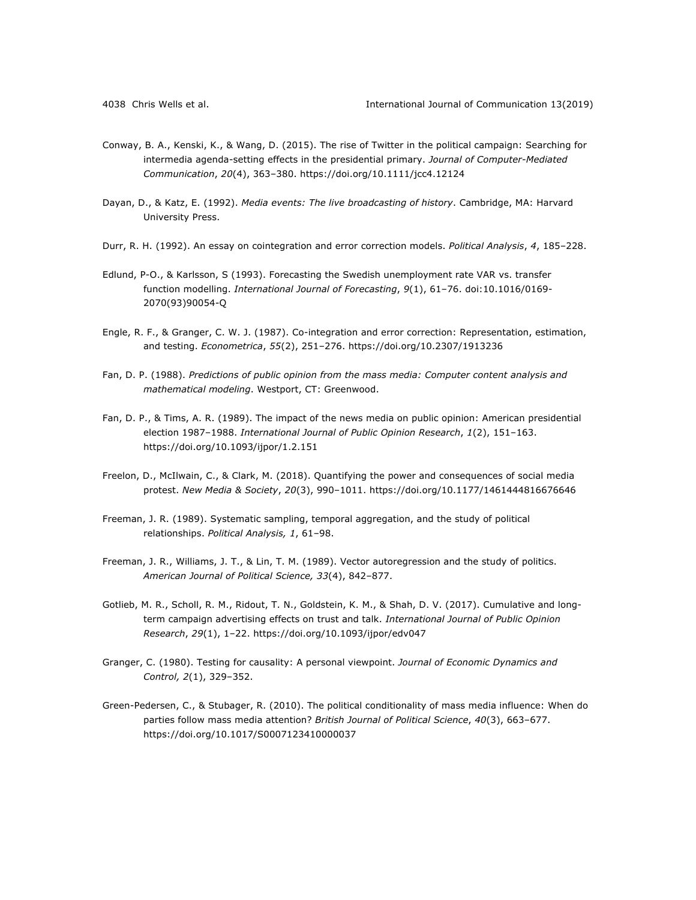- Conway, B. A., Kenski, K., & Wang, D. (2015). The rise of Twitter in the political campaign: Searching for intermedia agenda-setting effects in the presidential primary. *Journal of Computer-Mediated Communication*, *20*(4), 363–380. https://doi.org/10.1111/jcc4.12124
- Dayan, D., & Katz, E. (1992). *Media events: The live broadcasting of history*. Cambridge, MA: Harvard University Press.
- Durr, R. H. (1992). An essay on cointegration and error correction models. *Political Analysis*, *4*, 185–228.
- Edlund, P-O., & Karlsson, S (1993). Forecasting the Swedish unemployment rate VAR vs. transfer function modelling. *International Journal of Forecasting*, *9*(1), 61–76. doi:10.1016/0169- 2070(93)90054-Q
- Engle, R. F., & Granger, C. W. J. (1987). Co-integration and error correction: Representation, estimation, and testing. *Econometrica*, *55*(2), 251–276. https://doi.org/10.2307/1913236
- Fan, D. P. (1988). *Predictions of public opinion from the mass media: Computer content analysis and mathematical modeling*. Westport, CT: Greenwood.
- Fan, D. P., & Tims, A. R. (1989). The impact of the news media on public opinion: American presidential election 1987–1988. *International Journal of Public Opinion Research*, *1*(2), 151–163. https://doi.org/10.1093/ijpor/1.2.151
- Freelon, D., McIlwain, C., & Clark, M. (2018). Quantifying the power and consequences of social media protest. *New Media & Society*, *20*(3), 990–1011. https://doi.org/10.1177/1461444816676646
- Freeman, J. R. (1989). Systematic sampling, temporal aggregation, and the study of political relationships. *Political Analysis, 1*, 61–98.
- Freeman, J. R., Williams, J. T., & Lin, T. M. (1989). Vector autoregression and the study of politics. *American Journal of Political Science, 33*(4), 842–877.
- Gotlieb, M. R., Scholl, R. M., Ridout, T. N., Goldstein, K. M., & Shah, D. V. (2017). Cumulative and longterm campaign advertising effects on trust and talk. *International Journal of Public Opinion Research*, *29*(1), 1–22. https://doi.org/10.1093/ijpor/edv047
- Granger, C. (1980). Testing for causality: A personal viewpoint. *Journal of Economic Dynamics and Control, 2*(1), 329–352.
- Green-Pedersen, C., & Stubager, R. (2010). The political conditionality of mass media influence: When do parties follow mass media attention? *British Journal of Political Science*, *40*(3), 663–677. https://doi.org/10.1017/S0007123410000037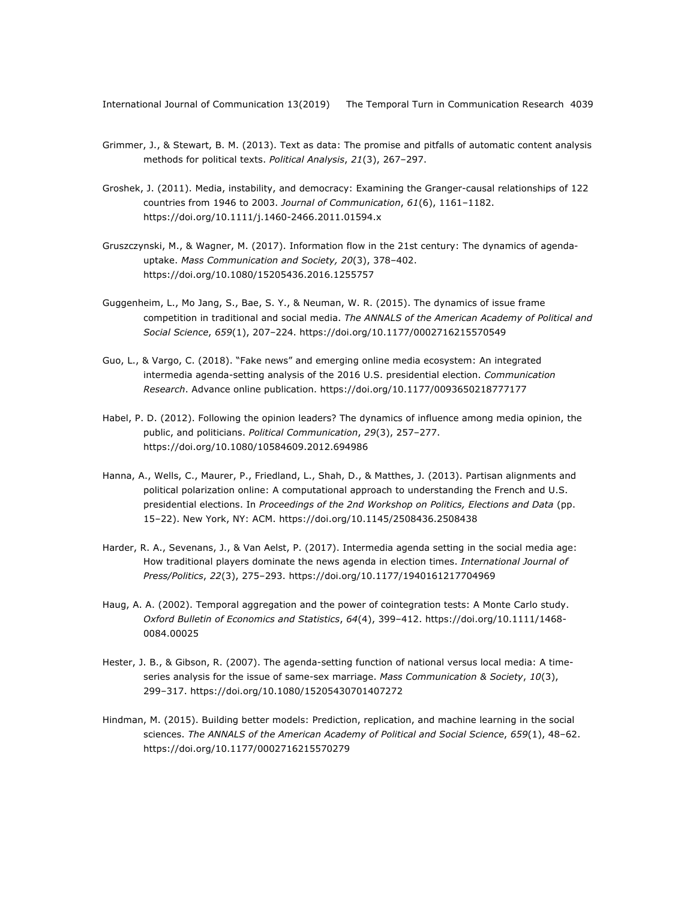- Grimmer, J., & Stewart, B. M. (2013). Text as data: The promise and pitfalls of automatic content analysis methods for political texts. *Political Analysis*, *21*(3), 267–297.
- Groshek, J. (2011). Media, instability, and democracy: Examining the Granger-causal relationships of 122 countries from 1946 to 2003. *Journal of Communication*, *61*(6), 1161–1182. https://doi.org/10.1111/j.1460-2466.2011.01594.x
- Gruszczynski, M., & Wagner, M. (2017). Information flow in the 21st century: The dynamics of agendauptake. *Mass Communication and Society, 20*(3), 378–402. https://doi.org/10.1080/15205436.2016.1255757
- Guggenheim, L., Mo Jang, S., Bae, S. Y., & Neuman, W. R. (2015). The dynamics of issue frame competition in traditional and social media. *The ANNALS of the American Academy of Political and Social Science*, *659*(1), 207–224. https://doi.org/10.1177/0002716215570549
- Guo, L., & Vargo, C. (2018). "Fake news" and emerging online media ecosystem: An integrated intermedia agenda-setting analysis of the 2016 U.S. presidential election. *Communication Research*. Advance online publication. https://doi.org/10.1177/0093650218777177
- Habel, P. D. (2012). Following the opinion leaders? The dynamics of influence among media opinion, the public, and politicians. *Political Communication*, *29*(3), 257–277. https://doi.org/10.1080/10584609.2012.694986
- Hanna, A., Wells, C., Maurer, P., Friedland, L., Shah, D., & Matthes, J. (2013). Partisan alignments and political polarization online: A computational approach to understanding the French and U.S. presidential elections. In *Proceedings of the 2nd Workshop on Politics, Elections and Data* (pp. 15–22). New York, NY: ACM. https://doi.org/10.1145/2508436.2508438
- Harder, R. A., Sevenans, J., & Van Aelst, P. (2017). Intermedia agenda setting in the social media age: How traditional players dominate the news agenda in election times. *International Journal of Press/Politics*, *22*(3), 275–293. https://doi.org/10.1177/1940161217704969
- Haug, A. A. (2002). Temporal aggregation and the power of cointegration tests: A Monte Carlo study. *Oxford Bulletin of Economics and Statistics*, *64*(4), 399–412. https://doi.org/10.1111/1468- 0084.00025
- Hester, J. B., & Gibson, R. (2007). The agenda-setting function of national versus local media: A timeseries analysis for the issue of same-sex marriage. *Mass Communication & Society*, *10*(3), 299–317. https://doi.org/10.1080/15205430701407272
- Hindman, M. (2015). Building better models: Prediction, replication, and machine learning in the social sciences. *The ANNALS of the American Academy of Political and Social Science*, *659*(1), 48–62. https://doi.org/10.1177/0002716215570279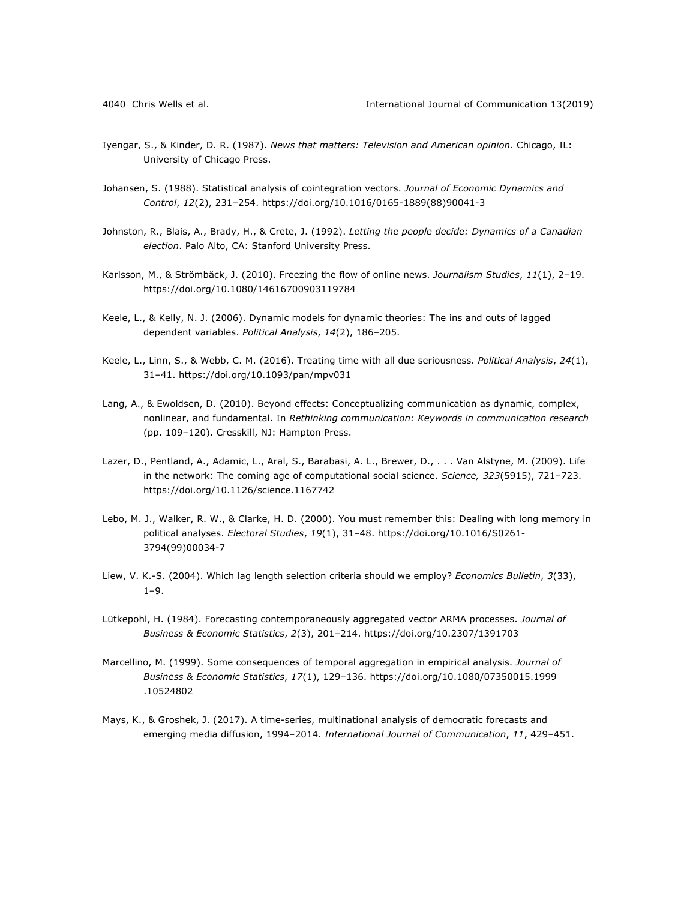- Iyengar, S., & Kinder, D. R. (1987). *News that matters: Television and American opinion*. Chicago, IL: University of Chicago Press.
- Johansen, S. (1988). Statistical analysis of cointegration vectors. *Journal of Economic Dynamics and Control*, *12*(2), 231–254. https://doi.org/10.1016/0165-1889(88)90041-3
- Johnston, R., Blais, A., Brady, H., & Crete, J. (1992). *Letting the people decide: Dynamics of a Canadian election*. Palo Alto, CA: Stanford University Press.
- Karlsson, M., & Strömbäck, J. (2010). Freezing the flow of online news. *Journalism Studies*, *11*(1), 2–19. https://doi.org/10.1080/14616700903119784
- Keele, L., & Kelly, N. J. (2006). Dynamic models for dynamic theories: The ins and outs of lagged dependent variables. *Political Analysis*, *14*(2), 186–205.
- Keele, L., Linn, S., & Webb, C. M. (2016). Treating time with all due seriousness. *Political Analysis*, *24*(1), 31–41. https://doi.org/10.1093/pan/mpv031
- Lang, A., & Ewoldsen, D. (2010). Beyond effects: Conceptualizing communication as dynamic, complex, nonlinear, and fundamental. In *Rethinking communication: Keywords in communication research* (pp. 109–120). Cresskill, NJ: Hampton Press.
- Lazer, D., Pentland, A., Adamic, L., Aral, S., Barabasi, A. L., Brewer, D., . . . Van Alstyne, M. (2009). Life in the network: The coming age of computational social science. *Science, 323*(5915), 721–723. https://doi.org/10.1126/science.1167742
- Lebo, M. J., Walker, R. W., & Clarke, H. D. (2000). You must remember this: Dealing with long memory in political analyses. *Electoral Studies*, *19*(1), 31–48. https://doi.org/10.1016/S0261- 3794(99)00034-7
- Liew, V. K.-S. (2004). Which lag length selection criteria should we employ? *Economics Bulletin*, *3*(33), 1–9.
- Lütkepohl, H. (1984). Forecasting contemporaneously aggregated vector ARMA processes. *Journal of Business & Economic Statistics*, *2*(3), 201–214. https://doi.org/10.2307/1391703
- Marcellino, M. (1999). Some consequences of temporal aggregation in empirical analysis. *Journal of Business & Economic Statistics*, *17*(1), 129–136. https://doi.org/10.1080/07350015.1999 .10524802
- Mays, K., & Groshek, J. (2017). A time-series, multinational analysis of democratic forecasts and emerging media diffusion, 1994–2014. *International Journal of Communication*, *11*, 429–451.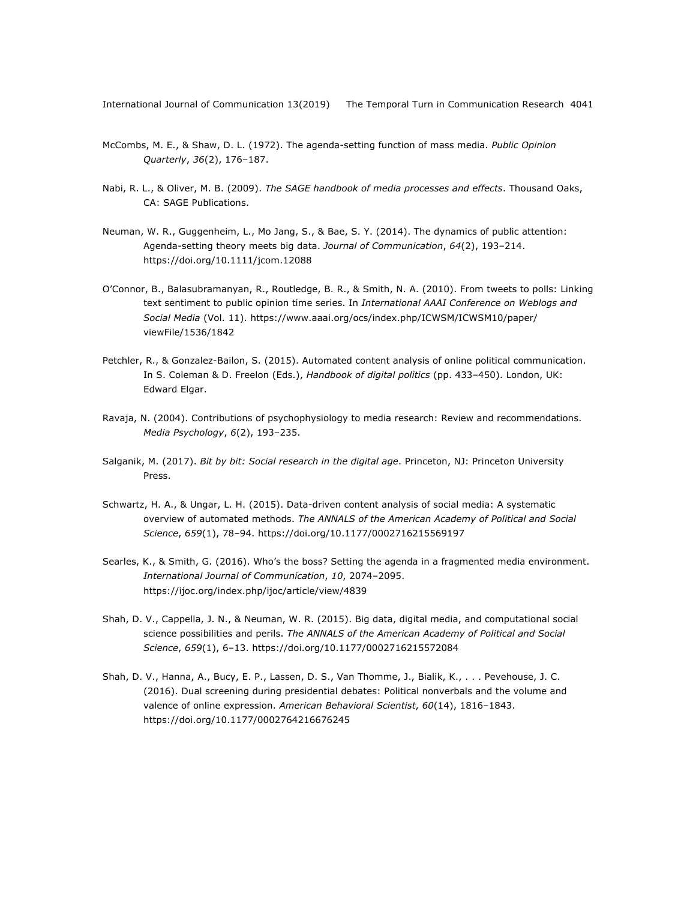- McCombs, M. E., & Shaw, D. L. (1972). The agenda-setting function of mass media. *Public Opinion Quarterly*, *36*(2), 176–187.
- Nabi, R. L., & Oliver, M. B. (2009). *The SAGE handbook of media processes and effects*. Thousand Oaks, CA: SAGE Publications.
- Neuman, W. R., Guggenheim, L., Mo Jang, S., & Bae, S. Y. (2014). The dynamics of public attention: Agenda-setting theory meets big data. *Journal of Communication*, *64*(2), 193–214. https://doi.org/10.1111/jcom.12088
- O'Connor, B., Balasubramanyan, R., Routledge, B. R., & Smith, N. A. (2010). From tweets to polls: Linking text sentiment to public opinion time series. In *International AAAI Conference on Weblogs and Social Media* (Vol. 11). https://www.aaai.org/ocs/index.php/ICWSM/ICWSM10/paper/ viewFile/1536/1842
- Petchler, R., & Gonzalez-Bailon, S. (2015). Automated content analysis of online political communication. In S. Coleman & D. Freelon (Eds.), *Handbook of digital politics* (pp. 433–450). London, UK: Edward Elgar.
- Ravaja, N. (2004). Contributions of psychophysiology to media research: Review and recommendations. *Media Psychology*, *6*(2), 193–235.
- Salganik, M. (2017). *Bit by bit: Social research in the digital age*. Princeton, NJ: Princeton University Press.
- Schwartz, H. A., & Ungar, L. H. (2015). Data-driven content analysis of social media: A systematic overview of automated methods. *The ANNALS of the American Academy of Political and Social Science*, *659*(1), 78–94. https://doi.org/10.1177/0002716215569197
- Searles, K., & Smith, G. (2016). Who's the boss? Setting the agenda in a fragmented media environment. *International Journal of Communication*, *10*, 2074–2095. https://ijoc.org/index.php/ijoc/article/view/4839
- Shah, D. V., Cappella, J. N., & Neuman, W. R. (2015). Big data, digital media, and computational social science possibilities and perils. *The ANNALS of the American Academy of Political and Social Science*, *659*(1), 6–13. https://doi.org/10.1177/0002716215572084
- Shah, D. V., Hanna, A., Bucy, E. P., Lassen, D. S., Van Thomme, J., Bialik, K., . . . Pevehouse, J. C. (2016). Dual screening during presidential debates: Political nonverbals and the volume and valence of online expression. *American Behavioral Scientist*, *60*(14), 1816–1843. https://doi.org/10.1177/0002764216676245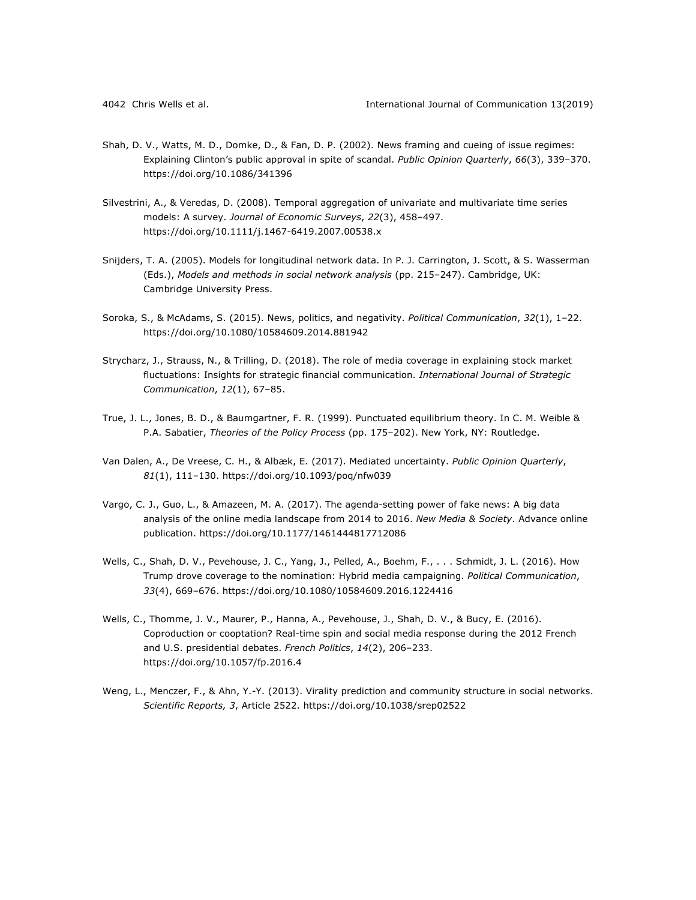- Shah, D. V., Watts, M. D., Domke, D., & Fan, D. P. (2002). News framing and cueing of issue regimes: Explaining Clinton's public approval in spite of scandal. *Public Opinion Quarterly*, *66*(3), 339–370. https://doi.org/10.1086/341396
- Silvestrini, A., & Veredas, D. (2008). Temporal aggregation of univariate and multivariate time series models: A survey. *Journal of Economic Surveys*, *22*(3), 458–497. https://doi.org/10.1111/j.1467-6419.2007.00538.x
- Snijders, T. A. (2005). Models for longitudinal network data. In P. J. Carrington, J. Scott, & S. Wasserman (Eds.), *Models and methods in social network analysis* (pp. 215–247). Cambridge, UK: Cambridge University Press.
- Soroka, S., & McAdams, S. (2015). News, politics, and negativity. *Political Communication*, *32*(1), 1–22. https://doi.org/10.1080/10584609.2014.881942
- Strycharz, J., Strauss, N., & Trilling, D. (2018). The role of media coverage in explaining stock market fluctuations: Insights for strategic financial communication. *International Journal of Strategic Communication*, *12*(1), 67–85.
- True, J. L., Jones, B. D., & Baumgartner, F. R. (1999). Punctuated equilibrium theory. In C. M. Weible & P.A. Sabatier, *Theories of the Policy Process* (pp. 175–202). New York, NY: Routledge.
- Van Dalen, A., De Vreese, C. H., & Albæk, E. (2017). Mediated uncertainty. *Public Opinion Quarterly*, *81*(1), 111–130. https://doi.org/10.1093/poq/nfw039
- Vargo, C. J., Guo, L., & Amazeen, M. A. (2017). The agenda-setting power of fake news: A big data analysis of the online media landscape from 2014 to 2016. *New Media & Society*. Advance online publication. https://doi.org/10.1177/1461444817712086
- Wells, C., Shah, D. V., Pevehouse, J. C., Yang, J., Pelled, A., Boehm, F., . . . Schmidt, J. L. (2016). How Trump drove coverage to the nomination: Hybrid media campaigning. *Political Communication*, *33*(4), 669–676. https://doi.org/10.1080/10584609.2016.1224416
- Wells, C., Thomme, J. V., Maurer, P., Hanna, A., Pevehouse, J., Shah, D. V., & Bucy, E. (2016). Coproduction or cooptation? Real-time spin and social media response during the 2012 French and U.S. presidential debates. *French Politics*, *14*(2), 206–233. https://doi.org/10.1057/fp.2016.4
- Weng, L., Menczer, F., & Ahn, Y.-Y. (2013). Virality prediction and community structure in social networks. *Scientific Reports, 3*, Article 2522. https://doi.org/10.1038/srep02522